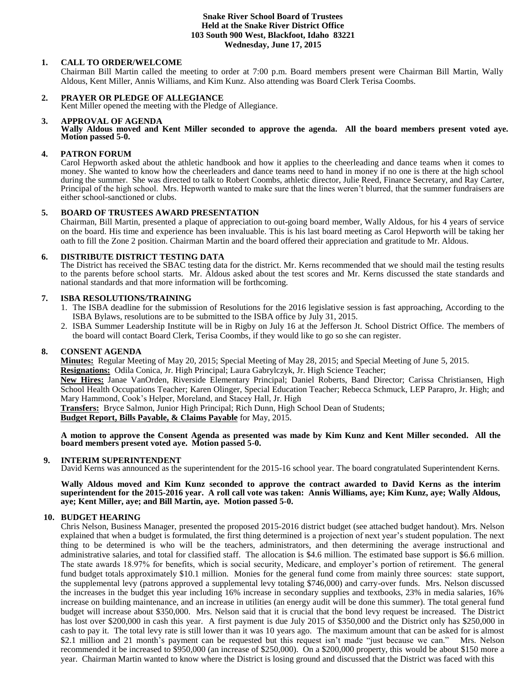## **Snake River School Board of Trustees Held at the Snake River District Office 103 South 900 West, Blackfoot, Idaho 83221 Wednesday, June 17, 2015**

# **1. CALL TO ORDER/WELCOME**

Chairman Bill Martin called the meeting to order at 7:00 p.m. Board members present were Chairman Bill Martin, Wally Aldous, Kent Miller, Annis Williams, and Kim Kunz. Also attending was Board Clerk Terisa Coombs.

# **2. PRAYER OR PLEDGE OF ALLEGIANCE**

Kent Miller opened the meeting with the Pledge of Allegiance.

## **3. APPROVAL OF AGENDA**

**Wally Aldous moved and Kent Miller seconded to approve the agenda. All the board members present voted aye. Motion passed 5-0.** 

# **4. PATRON FORUM**

Carol Hepworth asked about the athletic handbook and how it applies to the cheerleading and dance teams when it comes to money. She wanted to know how the cheerleaders and dance teams need to hand in money if no one is there at the high school during the summer. She was directed to talk to Robert Coombs, athletic director, Julie Reed, Finance Secretary, and Ray Carter, Principal of the high school. Mrs. Hepworth wanted to make sure that the lines weren't blurred, that the summer fundraisers are either school-sanctioned or clubs.

# **5. BOARD OF TRUSTEES AWARD PRESENTATION**

Chairman, Bill Martin, presented a plaque of appreciation to out-going board member, Wally Aldous, for his 4 years of service on the board. His time and experience has been invaluable. This is his last board meeting as Carol Hepworth will be taking her oath to fill the Zone 2 position. Chairman Martin and the board offered their appreciation and gratitude to Mr. Aldous.

# **6. DISTRIBUTE DISTRICT TESTING DATA**

The District has received the SBAC testing data for the district. Mr. Kerns recommended that we should mail the testing results to the parents before school starts. Mr. Aldous asked about the test scores and Mr. Kerns discussed the state standards and national standards and that more information will be forthcoming.

# **7. ISBA RESOLUTIONS/TRAINING**

- 1. The ISBA deadline for the submission of Resolutions for the 2016 legislative session is fast approaching, According to the ISBA Bylaws, resolutions are to be submitted to the ISBA office by July 31, 2015.
- 2. ISBA Summer Leadership Institute will be in Rigby on July 16 at the Jefferson Jt. School District Office. The members of the board will contact Board Clerk, Terisa Coombs, if they would like to go so she can register.

# **8. CONSENT AGENDA**

**Minutes:** Regular Meeting of May 20, 2015; Special Meeting of May 28, 2015; and Special Meeting of June 5, 2015.

**Resignations:** Odila Conica, Jr. High Principal; Laura Gabrylczyk, Jr. High Science Teacher;

**New Hires:** Janae VanOrden, Riverside Elementary Principal; Daniel Roberts, Band Director; Carissa Christiansen, High School Health Occupations Teacher; Karen Olinger, Special Education Teacher; Rebecca Schmuck, LEP Parapro, Jr. High; and Mary Hammond, Cook's Helper, Moreland, and Stacey Hall, Jr. High

**Transfers:** Bryce Salmon, Junior High Principal; Rich Dunn, High School Dean of Students;

**Budget Report, Bills Payable, & Claims Payable** for May, 2015.

**A motion to approve the Consent Agenda as presented was made by Kim Kunz and Kent Miller seconded. All the board members present voted aye. Motion passed 5-0.** 

# **9. INTERIM SUPERINTENDENT**

David Kerns was announced as the superintendent for the 2015-16 school year. The board congratulated Superintendent Kerns.

 **Wally Aldous moved and Kim Kunz seconded to approve the contract awarded to David Kerns as the interim superintendent for the 2015-2016 year. A roll call vote was taken: Annis Williams, aye; Kim Kunz, aye; Wally Aldous, aye; Kent Miller, aye; and Bill Martin, aye. Motion passed 5-0.** 

# **10. BUDGET HEARING**

Chris Nelson, Business Manager, presented the proposed 2015-2016 district budget (see attached budget handout). Mrs. Nelson explained that when a budget is formulated, the first thing determined is a projection of next year's student population. The next thing to be determined is who will be the teachers, administrators, and then determining the average instructional and administrative salaries, and total for classified staff. The allocation is \$4.6 million. The estimated base support is \$6.6 million. The state awards 18.97% for benefits, which is social security, Medicare, and employer's portion of retirement. The general fund budget totals approximately \$10.1 million. Monies for the general fund come from mainly three sources: state support, the supplemental levy (patrons approved a supplemental levy totaling \$746,000) and carry-over funds. Mrs. Nelson discussed the increases in the budget this year including 16% increase in secondary supplies and textbooks, 23% in media salaries, 16% increase on building maintenance, and an increase in utilities (an energy audit will be done this summer). The total general fund budget will increase about \$350,000. Mrs. Nelson said that it is crucial that the bond levy request be increased. The District has lost over \$200,000 in cash this year. A first payment is due July 2015 of \$350,000 and the District only has \$250,000 in cash to pay it. The total levy rate is still lower than it was 10 years ago. The maximum amount that can be asked for is almost \$2.1 million and 21 month's payment can be requested but this request isn't made "just because we can." Mrs. Nelson recommended it be increased to \$950,000 (an increase of \$250,000). On a \$200,000 property, this would be about \$150 more a year. Chairman Martin wanted to know where the District is losing ground and discussed that the District was faced with this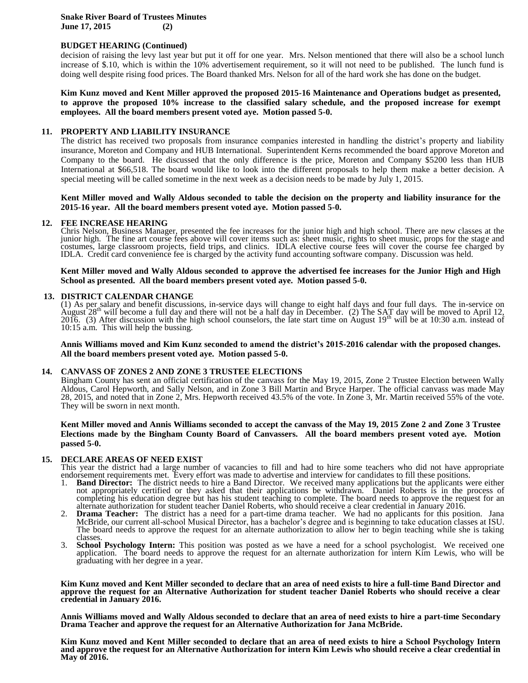**Snake River Board of Trustees Minutes June 17, 2015 (2)**

# **BUDGET HEARING (Continued)**

decision of raising the levy last year but put it off for one year. Mrs. Nelson mentioned that there will also be a school lunch increase of \$.10, which is within the 10% advertisement requirement, so it will not need to be published. The lunch fund is doing well despite rising food prices. The Board thanked Mrs. Nelson for all of the hard work she has done on the budget.

**Kim Kunz moved and Kent Miller approved the proposed 2015-16 Maintenance and Operations budget as presented, to approve the proposed 10% increase to the classified salary schedule, and the proposed increase for exempt employees. All the board members present voted aye. Motion passed 5-0.** 

#### **11. PROPERTY AND LIABILITY INSURANCE**

The district has received two proposals from insurance companies interested in handling the district's property and liability insurance, Moreton and Company and HUB International. Superintendent Kerns recommended the board approve Moreton and Company to the board. He discussed that the only difference is the price, Moreton and Company \$5200 less than HUB International at \$66,518. The board would like to look into the different proposals to help them make a better decision. A special meeting will be called sometime in the next week as a decision needs to be made by July 1, 2015.

#### **Kent Miller moved and Wally Aldous seconded to table the decision on the property and liability insurance for the 2015-16 year. All the board members present voted aye. Motion passed 5-0.**

#### **12. FEE INCREASE HEARING**

Chris Nelson, Business Manager, presented the fee increases for the junior high and high school. There are new classes at the junior high. The fine art course fees above will cover items such as: sheet music, rights to sheet music, props for the stage and costumes, large classroom projects, field trips, and clinics. IDLA elective course fees will cover the course fee charged by IDLA. Credit card convenience fee is charged by the activity fund accounting software company. Discussion was held.

**Kent Miller moved and Wally Aldous seconded to approve the advertised fee increases for the Junior High and High School as presented. All the board members present voted aye. Motion passed 5-0.** 

#### **13. DISTRICT CALENDAR CHANGE**

(1) As per salary and benefit discussions, in-service days will change to eight half days and four full days. The in-service on August  $28<sup>th</sup>$  will become a full day and there will not be a half day in December. (2) T 2016. (3) After discussion with the high school counselors, the late start time on August  $19<sup>th</sup>$  will be at  $10:30$  a.m. instead of 10:15 a.m. This will help the bussing.

**Annis Williams moved and Kim Kunz seconded to amend the district's 2015-2016 calendar with the proposed changes. All the board members present voted aye. Motion passed 5-0.** 

#### **14. CANVASS OF ZONES 2 AND ZONE 3 TRUSTEE ELECTIONS**

Bingham County has sent an official certification of the canvass for the May 19, 2015, Zone 2 Trustee Election between Wally Aldous, Carol Hepworth, and Sally Nelson, and in Zone 3 Bill Martin and Bryce Harper. The official canvass was made May 28, 2015, and noted that in Zone 2, Mrs. Hepworth received 43.5% of the vote. In Zone 3, Mr. Martin received 55% of the vote. They will be sworn in next month.

## **Kent Miller moved and Annis Williams seconded to accept the canvass of the May 19, 2015 Zone 2 and Zone 3 Trustee Elections made by the Bingham County Board of Canvassers. All the board members present voted aye. Motion passed 5-0.**

#### **15. DECLARE AREAS OF NEED EXIST**

This year the district had a large number of vacancies to fill and had to hire some teachers who did not have appropriate endorsement requirements met. Every effort was made to advertise and interview for candidates to fill these positions.

- 1. **Band Director:** The district needs to hire a Band Director. We received many applications but the applicants were either not appropriately certified or they asked that their applications be withdrawn. Daniel Roberts is in the process of completing his education degree but has his student teaching to complete. The board needs to approve the request for an alternate authorization for student teacher Daniel Roberts, who should receive a clear credential in January 2016.
- 2. **Drama Teacher:** The district has a need for a part-time drama teacher. We had no applicants for this position. Jana McBride, our current all-school Musical Director, has a bachelor's degree and is beginning to take education classes at ISU. The board needs to approve the request for an alternate authorization to allow her to begin teaching while she is taking classes.
- 3. **School Psychology Intern:** This position was posted as we have a need for a school psychologist. We received one application. The board needs to approve the request for an alternate authorization for intern Kim Lewis, who will be graduating with her degree in a year.

**Kim Kunz moved and Kent Miller seconded to declare that an area of need exists to hire a full-time Band Director and approve the request for an Alternative Authorization for student teacher Daniel Roberts who should receive a clear credential in January 2016.**

**Annis Williams moved and Wally Aldous seconded to declare that an area of need exists to hire a part-time Secondary Drama Teacher and approve the request for an Alternative Authorization for Jana McBride.**

**Kim Kunz moved and Kent Miller seconded to declare that an area of need exists to hire a School Psychology Intern and approve the request for an Alternative Authorization for intern Kim Lewis who should receive a clear credential in May of 2016.**